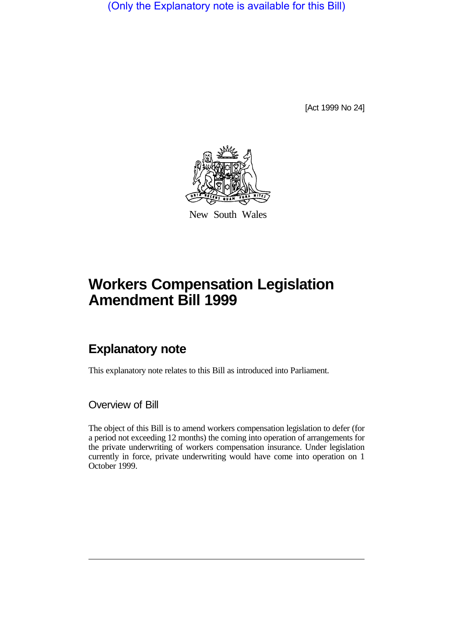(Only the Explanatory note is available for this Bill)

[Act 1999 No 24]



New South Wales

## **Workers Compensation Legislation Amendment Bill 1999**

## **Explanatory note**

This explanatory note relates to this Bill as introduced into Parliament.

Overview of Bill

The object of this Bill is to amend workers compensation legislation to defer (for a period not exceeding 12 months) the coming into operation of arrangements for the private underwriting of workers compensation insurance. Under legislation currently in force, private underwriting would have come into operation on 1 October 1999.